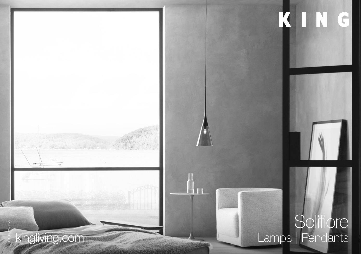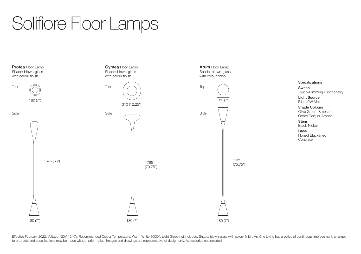## Solifiore Floor Lamps

Side Side Side Specifications Switch Touch-Dimming Functionality Light Source E14 40W Max. Shade Colours Olive Green; Smoke; Ochre Red; or Amber Stem Black Nickel Base Honed Blackened Concrete 1675 (66") 180 (7" 180 (7") 180 (7") 180 (7") 180 (7") 180 (7") 180 (7") 180 (7") 180 (7") 180 (7") 180 (7") 180 (7") 180 (7") 180 (7") 1795 (70.75") 180 (7  $310(12.25")$ 1925 (75.75") 180 (7 Protea Floor Lamp Shade: blown-glass with colour finish Gymea Floor Lamp Shade: blown-glass with colour finish Arum Floor Lamp Shade: blown-glass with colour finish Top  $\bigcap$  Top  $\bigcap$   $\bigcap$ 

Effective February 2022. Voltage 120V / 240V. Recommended Colour Temperature: Warm White 3000K. Light Globe not included. Shade: blown-glass with colour finish. As King Living has a policy of continuous improvement, change to products and specifications may be made without prior notice. Images and drawings are representative of design only. Accessories not included.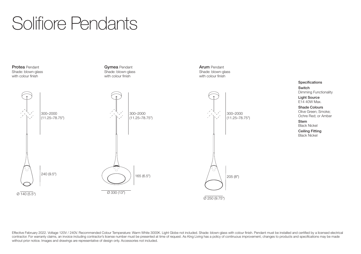## Solifiore Pendants

Protea Pendant Shade: blown-glass with colour finish



Gymea Pendant Shade: blown-glass with colour finish

> **Specifications** Switch Dimming Functionality

> > Light Source E14 40W Max.

Shade Colours Olive Green; Smoke; Ochre Red; or Amber

Stem Black Nickel

Ceiling Fitting Black Nickel

Effective February 2022. Voltage 120V / 240V. Recommended Colour Temperature: Warm White 3000K. Light Globe not included. Shade: blown-glass with colour finish. Pendant must be installed and certified by a licensed electri contractor. For warranty claims, an invoice including contractor's license number must be presented at time of request. As King Living has a policy of continuous improvement, changes to products and specifications may be m without prior notice. Images and drawings are representative of design only. Accessories not included.

Arum Pendant Shade: blown-glass with colour finish